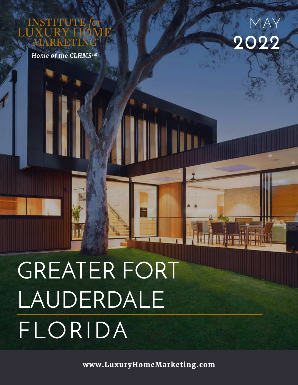*Home of the CLHMSTM*



# GREATER FORT LAUDERDALE FLORIDA

**www.LuxuryHomeMarketing.com**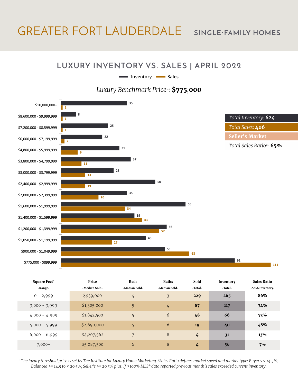## GREATER FORT LAUDERDALE **SINGLE-FAMILY HOMES**

#### **LUXURY INVENTORY VS. SALES | APRIL 2022**

Inventory Sales

*Luxury Benchmark Price<sup>1</sup>:* **\$775***,***000**



| Square Feet <sup>3</sup> | Price         | <b>Beds</b>     | <b>Baths</b>   | Sold    | Inventory | <b>Sales Ratio</b> |
|--------------------------|---------------|-----------------|----------------|---------|-----------|--------------------|
| -Range-                  | -Median Sold- | -Median Sold-   | -Median Sold-  | -Total- | -Total-   | -Sold/Inventory-   |
| $0 - 2,999$              | \$939,000     | $\frac{1}{4}$   | $\overline{3}$ | 229     | 265       | 86%                |
| $3,000 - 3,999$          | \$1,305,000   | 5               | $\frac{1}{4}$  | 87      | 117       | 74%                |
| $4,000 - 4,999$          | \$1,842,500   | 5               | 6              | 48      | 66        | 73%                |
| $5,000 - 5,999$          | \$2,690,000   | 5               | 6              | 19      | 40        | 48%                |
| $6,000 - 6,999$          | \$4,207,562   | $7\phantom{.0}$ | 8              | 4       | 31        | 13%                |
| $7,000+$                 | \$5,087,500   | 6               | 8              | 4       | 56        | 7%                 |

*1 The luxury threshold price is set by The Institute for Luxury Home Marketing. 2Sales Ratio defines market speed and market type: Buyer's < 14.5%; Balanced >= 14.5 to < 20.5%; Seller's >= 20.5% plus. If >100% MLS® data reported previous month's sales exceeded current inventory.*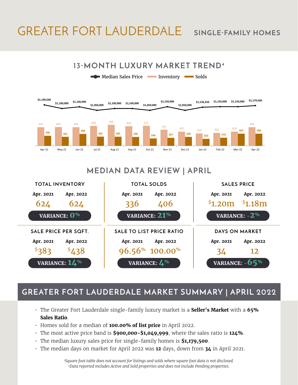## GREATER FORT LAUDERDALE **SINGLE-FAMILY HOMES**



## **MEDIAN DATA REVIEW | APRIL**



## **GREATER FORT LAUDERDALE MARKET SUMMARY | APRIL 2022**

- The Greater Fort Lauderdale single-family luxury market is a **Seller's Market** with a **65% Sales Ratio**.
- Homes sold for a median of **100.00% of list price** in April 2022.
- The most active price band is **\$900,000-\$1,049,999**, where the sales ratio is **124%**.
- The median luxury sales price for single-family homes is **\$1,179,500**.
- The median days on market for April 2022 was **12** days, down from **34** in April 2021.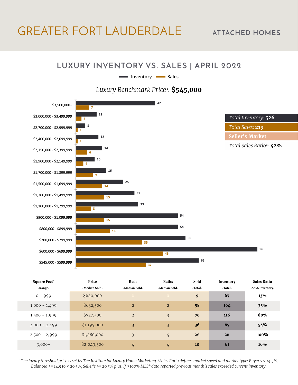## GREATER FORT LAUDERDALE **ATTACHED HOMES**

#### **LUXURY INVENTORY VS. SALES | APRIL 2022**

Inventory Sales

*Luxury Benchmark Price<sup>1</sup>:* **\$545***,***000**



| Square Feet <sup>3</sup> | Price         | <b>Beds</b>    | <b>Baths</b>   | Sold    | Inventory | <b>Sales Ratio</b> |
|--------------------------|---------------|----------------|----------------|---------|-----------|--------------------|
| -Range-                  | -Median Sold- | -Median Sold-  | -Median Sold-  | -Total- | -Total-   | -Sold/Inventory-   |
| $0 - 999$                | \$640,000     |                | $\mathbf{1}$   | 9       | 67        | 13%                |
| $1,000 - 1,499$          | \$632,500     | $\overline{2}$ | $\overline{2}$ | 58      | 164       | 35%                |
| $1,500 - 1,999$          | \$727,500     | $\overline{2}$ | $\overline{3}$ | 70      | 116       | 60%                |
| $2,000 - 2,499$          | \$1,195,000   | 3              | 3              | 36      | 67        | 54%                |
| $2,500 - 2,999$          | \$1,480,000   | 3              | $\frac{1}{4}$  | 26      | 26        | $100\%$            |
| $3,000+$                 | \$2,049,500   | $\frac{1}{4}$  | $\frac{1}{4}$  | 10      | 61        | 16%                |

*1 The luxury threshold price is set by The Institute for Luxury Home Marketing. 2Sales Ratio defines market speed and market type: Buyer's < 14.5%; Balanced >= 14.5 to < 20.5%; Seller's >= 20.5% plus. If >100% MLS® data reported previous month's sales exceeded current inventory.*